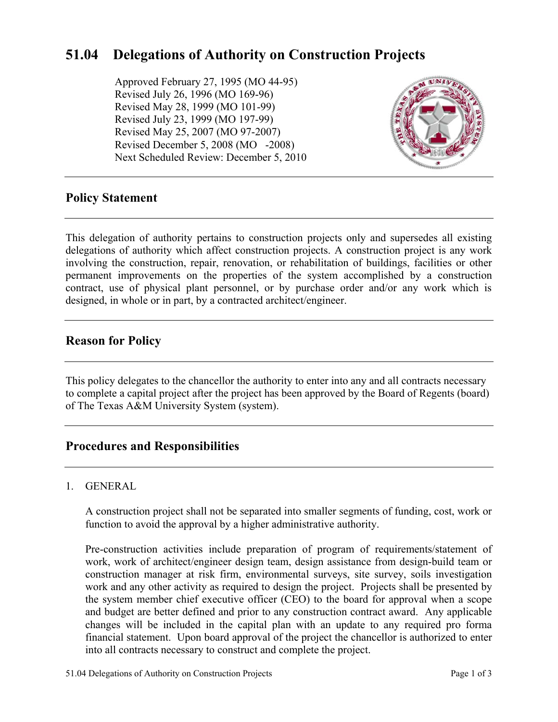# **51.04 Delegations of Authority on Construction Projects**

Approved February 27, 1995 (MO 44-95) Revised July 26, 1996 (MO 169-96) Revised May 28, 1999 (MO 101-99) Revised July 23, 1999 (MO 197-99) Revised May 25, 2007 (MO 97-2007) Revised December 5, 2008 (MO -2008) Next Scheduled Review: December 5, 2010



# **Policy Statement**

This delegation of authority pertains to construction projects only and supersedes all existing delegations of authority which affect construction projects. A construction project is any work involving the construction, repair, renovation, or rehabilitation of buildings, facilities or other permanent improvements on the properties of the system accomplished by a construction contract, use of physical plant personnel, or by purchase order and/or any work which is designed, in whole or in part, by a contracted architect/engineer.

# **Reason for Policy**

This policy delegates to the chancellor the authority to enter into any and all contracts necessary to complete a capital project after the project has been approved by the Board of Regents (board) of The Texas A&M University System (system).

# **Procedures and Responsibilities**

### 1. GENERAL

A construction project shall not be separated into smaller segments of funding, cost, work or function to avoid the approval by a higher administrative authority.

Pre-construction activities include preparation of program of requirements/statement of work, work of architect/engineer design team, design assistance from design-build team or construction manager at risk firm, environmental surveys, site survey, soils investigation work and any other activity as required to design the project. Projects shall be presented by the system member chief executive officer (CEO) to the board for approval when a scope and budget are better defined and prior to any construction contract award. Any applicable changes will be included in the capital plan with an update to any required pro forma financial statement. Upon board approval of the project the chancellor is authorized to enter into all contracts necessary to construct and complete the project.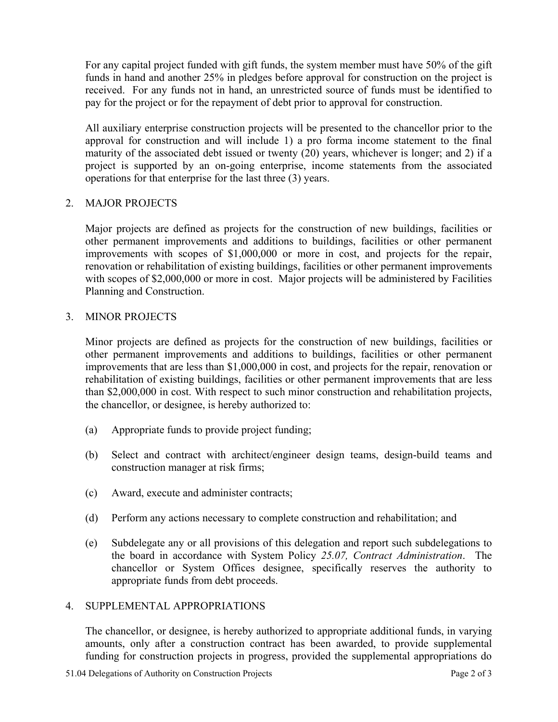For any capital project funded with gift funds, the system member must have 50% of the gift funds in hand and another 25% in pledges before approval for construction on the project is received. For any funds not in hand, an unrestricted source of funds must be identified to pay for the project or for the repayment of debt prior to approval for construction.

All auxiliary enterprise construction projects will be presented to the chancellor prior to the approval for construction and will include 1) a pro forma income statement to the final maturity of the associated debt issued or twenty (20) years, whichever is longer; and 2) if a project is supported by an on-going enterprise, income statements from the associated operations for that enterprise for the last three (3) years.

### 2. MAJOR PROJECTS

Major projects are defined as projects for the construction of new buildings, facilities or other permanent improvements and additions to buildings, facilities or other permanent improvements with scopes of \$1,000,000 or more in cost, and projects for the repair, renovation or rehabilitation of existing buildings, facilities or other permanent improvements with scopes of \$2,000,000 or more in cost. Major projects will be administered by Facilities Planning and Construction.

#### 3. MINOR PROJECTS

Minor projects are defined as projects for the construction of new buildings, facilities or other permanent improvements and additions to buildings, facilities or other permanent improvements that are less than \$1,000,000 in cost, and projects for the repair, renovation or rehabilitation of existing buildings, facilities or other permanent improvements that are less than \$2,000,000 in cost. With respect to such minor construction and rehabilitation projects, the chancellor, or designee, is hereby authorized to:

- (a) Appropriate funds to provide project funding;
- (b) Select and contract with architect/engineer design teams, design-build teams and construction manager at risk firms;
- (c) Award, execute and administer contracts;
- (d) Perform any actions necessary to complete construction and rehabilitation; and
- (e) Subdelegate any or all provisions of this delegation and report such subdelegations to the board in accordance with System Policy *25.07, Contract Administration*. The chancellor or System Offices designee, specifically reserves the authority to appropriate funds from debt proceeds.

#### 4. SUPPLEMENTAL APPROPRIATIONS

 The chancellor, or designee, is hereby authorized to appropriate additional funds, in varying amounts, only after a construction contract has been awarded, to provide supplemental funding for construction projects in progress, provided the supplemental appropriations do